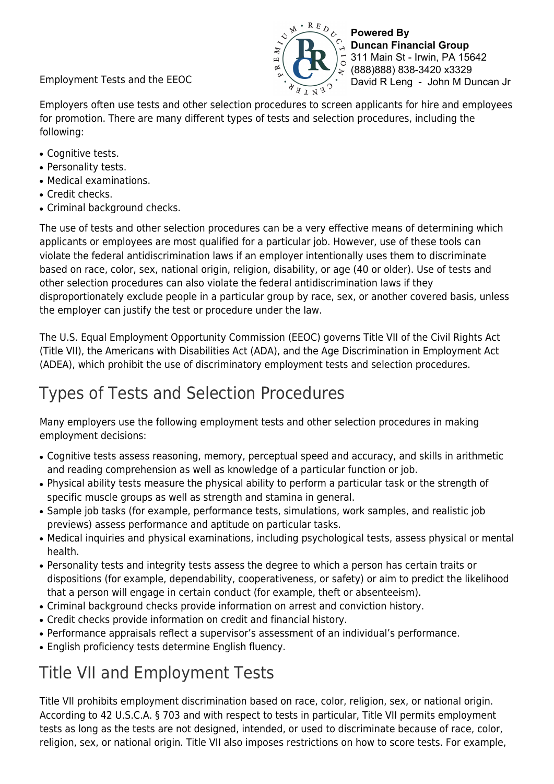Employment Tests and the EEOC



**Powered By Duncan Financial Group** 311 Main St - Irwin, PA 15642 (888)888) 838-3420 x3329 David R Leng - John M Duncan Jr

Employers often use tests and other selection procedures to screen applicants for hire and employees for promotion. There are many different types of tests and selection procedures, including the following:

- Cognitive tests.
- Personality tests.
- Medical examinations.
- Credit checks.
- Criminal background checks.

The use of tests and other selection procedures can be a very effective means of determining which applicants or employees are most qualified for a particular job. However, use of these tools can violate the federal antidiscrimination laws if an employer intentionally uses them to discriminate based on race, color, sex, national origin, religion, disability, or age (40 or older). Use of tests and other selection procedures can also violate the federal antidiscrimination laws if they disproportionately exclude people in a particular group by race, sex, or another covered basis, unless the employer can justify the test or procedure under the law.

The U.S. Equal Employment Opportunity Commission (EEOC) governs Title VII of the Civil Rights Act (Title VII), the Americans with Disabilities Act (ADA), and the Age Discrimination in Employment Act (ADEA), which prohibit the use of discriminatory employment tests and selection procedures.

# Types of Tests and Selection Procedures

Many employers use the following employment tests and other selection procedures in making employment decisions:

- Cognitive tests assess reasoning, memory, perceptual speed and accuracy, and skills in arithmetic and reading comprehension as well as knowledge of a particular function or job.
- Physical ability tests measure the physical ability to perform a particular task or the strength of specific muscle groups as well as strength and stamina in general.
- Sample job tasks (for example, performance tests, simulations, work samples, and realistic job previews) assess performance and aptitude on particular tasks.
- Medical inquiries and physical examinations, including psychological tests, assess physical or mental health.
- Personality tests and integrity tests assess the degree to which a person has certain traits or dispositions (for example, dependability, cooperativeness, or safety) or aim to predict the likelihood that a person will engage in certain conduct (for example, theft or absenteeism).
- Criminal background checks provide information on arrest and conviction history.
- Credit checks provide information on credit and financial history.
- Performance appraisals reflect a supervisor's assessment of an individual's performance.
- English proficiency tests determine English fluency.

# Title VII and Employment Tests

Title VII prohibits employment discrimination based on race, color, religion, sex, or national origin. According to 42 U.S.C.A. § 703 and with respect to tests in particular, Title VII permits employment tests as long as the tests are not designed, intended, or used to discriminate because of race, color, religion, sex, or national origin. Title VII also imposes restrictions on how to score tests. For example,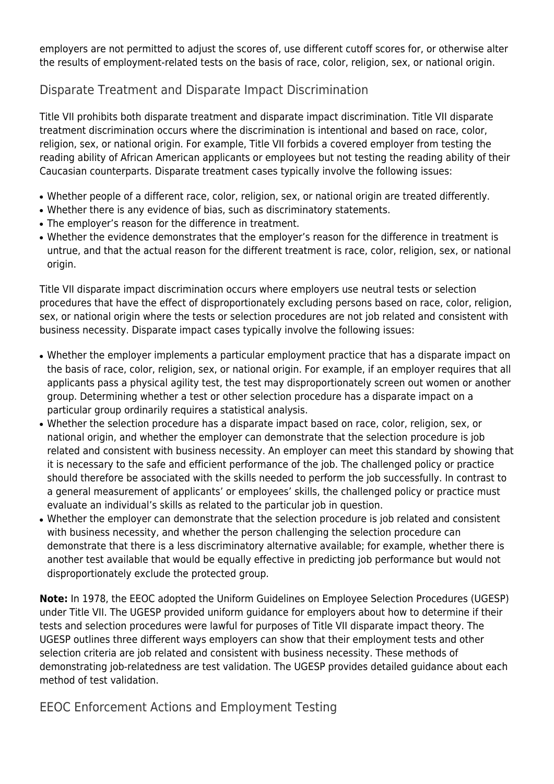employers are not permitted to adjust the scores of, use different cutoff scores for, or otherwise alter the results of employment-related tests on the basis of race, color, religion, sex, or national origin.

## Disparate Treatment and Disparate Impact Discrimination

Title VII prohibits both disparate treatment and disparate impact discrimination. Title VII disparate treatment discrimination occurs where the discrimination is intentional and based on race, color, religion, sex, or national origin. For example, Title VII forbids a covered employer from testing the reading ability of African American applicants or employees but not testing the reading ability of their Caucasian counterparts. Disparate treatment cases typically involve the following issues:

- Whether people of a different race, color, religion, sex, or national origin are treated differently.
- Whether there is any evidence of bias, such as discriminatory statements.
- The employer's reason for the difference in treatment.
- Whether the evidence demonstrates that the employer's reason for the difference in treatment is untrue, and that the actual reason for the different treatment is race, color, religion, sex, or national origin.

Title VII disparate impact discrimination occurs where employers use neutral tests or selection procedures that have the effect of disproportionately excluding persons based on race, color, religion, sex, or national origin where the tests or selection procedures are not job related and consistent with business necessity. Disparate impact cases typically involve the following issues:

- Whether the employer implements a particular employment practice that has a disparate impact on the basis of race, color, religion, sex, or national origin. For example, if an employer requires that all applicants pass a physical agility test, the test may disproportionately screen out women or another group. Determining whether a test or other selection procedure has a disparate impact on a particular group ordinarily requires a statistical analysis.
- Whether the selection procedure has a disparate impact based on race, color, religion, sex, or national origin, and whether the employer can demonstrate that the selection procedure is job related and consistent with business necessity. An employer can meet this standard by showing that it is necessary to the safe and efficient performance of the job. The challenged policy or practice should therefore be associated with the skills needed to perform the job successfully. In contrast to a general measurement of applicants' or employees' skills, the challenged policy or practice must evaluate an individual's skills as related to the particular job in question.
- Whether the employer can demonstrate that the selection procedure is job related and consistent with business necessity, and whether the person challenging the selection procedure can demonstrate that there is a less discriminatory alternative available; for example, whether there is another test available that would be equally effective in predicting job performance but would not disproportionately exclude the protected group.

**Note:** In 1978, the EEOC adopted the Uniform Guidelines on Employee Selection Procedures (UGESP) under Title VII. The UGESP provided uniform guidance for employers about how to determine if their tests and selection procedures were lawful for purposes of Title VII disparate impact theory. The UGESP outlines three different ways employers can show that their employment tests and other selection criteria are job related and consistent with business necessity. These methods of demonstrating job-relatedness are test validation. The UGESP provides detailed guidance about each method of test validation.

## EEOC Enforcement Actions and Employment Testing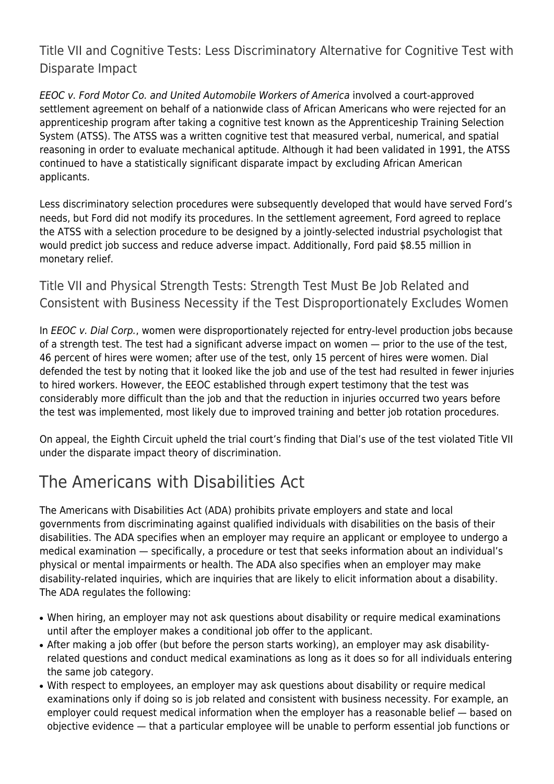Title VII and Cognitive Tests: Less Discriminatory Alternative for Cognitive Test with Disparate Impact

EEOC v. Ford Motor Co. and United Automobile Workers of America involved a court-approved settlement agreement on behalf of a nationwide class of African Americans who were rejected for an apprenticeship program after taking a cognitive test known as the Apprenticeship Training Selection System (ATSS). The ATSS was a written cognitive test that measured verbal, numerical, and spatial reasoning in order to evaluate mechanical aptitude. Although it had been validated in 1991, the ATSS continued to have a statistically significant disparate impact by excluding African American applicants.

Less discriminatory selection procedures were subsequently developed that would have served Ford's needs, but Ford did not modify its procedures. In the settlement agreement, Ford agreed to replace the ATSS with a selection procedure to be designed by a jointly-selected industrial psychologist that would predict job success and reduce adverse impact. Additionally, Ford paid \$8.55 million in monetary relief.

Title VII and Physical Strength Tests: Strength Test Must Be Job Related and Consistent with Business Necessity if the Test Disproportionately Excludes Women

In EEOC v. Dial Corp., women were disproportionately rejected for entry-level production jobs because of a strength test. The test had a significant adverse impact on women — prior to the use of the test, 46 percent of hires were women; after use of the test, only 15 percent of hires were women. Dial defended the test by noting that it looked like the job and use of the test had resulted in fewer injuries to hired workers. However, the EEOC established through expert testimony that the test was considerably more difficult than the job and that the reduction in injuries occurred two years before the test was implemented, most likely due to improved training and better job rotation procedures.

On appeal, the Eighth Circuit upheld the trial court's finding that Dial's use of the test violated Title VII under the disparate impact theory of discrimination.

## The Americans with Disabilities Act

The Americans with Disabilities Act (ADA) prohibits private employers and state and local governments from discriminating against qualified individuals with disabilities on the basis of their disabilities. The ADA specifies when an employer may require an applicant or employee to undergo a medical examination — specifically, a procedure or test that seeks information about an individual's physical or mental impairments or health. The ADA also specifies when an employer may make disability-related inquiries, which are inquiries that are likely to elicit information about a disability. The ADA regulates the following:

- When hiring, an employer may not ask questions about disability or require medical examinations until after the employer makes a conditional job offer to the applicant.
- After making a job offer (but before the person starts working), an employer may ask disabilityrelated questions and conduct medical examinations as long as it does so for all individuals entering the same job category.
- With respect to employees, an employer may ask questions about disability or require medical examinations only if doing so is job related and consistent with business necessity. For example, an employer could request medical information when the employer has a reasonable belief — based on objective evidence — that a particular employee will be unable to perform essential job functions or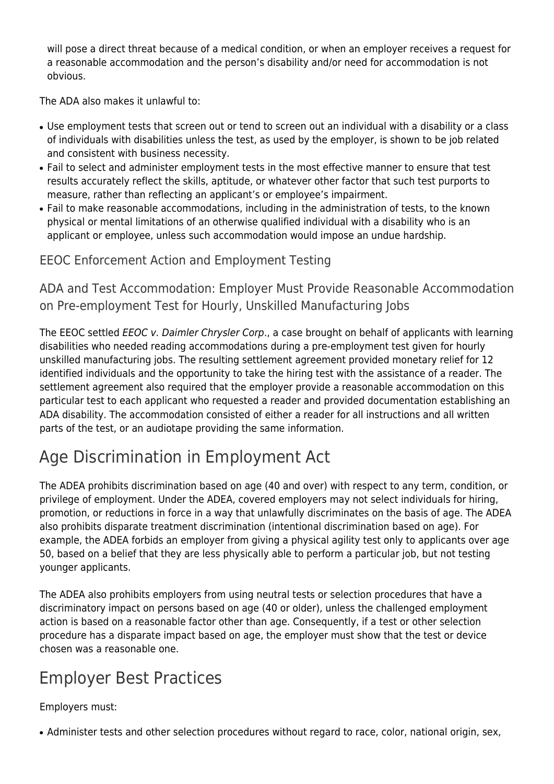will pose a direct threat because of a medical condition, or when an employer receives a request for a reasonable accommodation and the person's disability and/or need for accommodation is not obvious.

The ADA also makes it unlawful to:

- Use employment tests that screen out or tend to screen out an individual with a disability or a class of individuals with disabilities unless the test, as used by the employer, is shown to be job related and consistent with business necessity.
- Fail to select and administer employment tests in the most effective manner to ensure that test results accurately reflect the skills, aptitude, or whatever other factor that such test purports to measure, rather than reflecting an applicant's or employee's impairment.
- Fail to make reasonable accommodations, including in the administration of tests, to the known physical or mental limitations of an otherwise qualified individual with a disability who is an applicant or employee, unless such accommodation would impose an undue hardship.

## EEOC Enforcement Action and Employment Testing

ADA and Test Accommodation: Employer Must Provide Reasonable Accommodation on Pre-employment Test for Hourly, Unskilled Manufacturing Jobs

The EEOC settled EEOC v. Daimler Chrysler Corp., a case brought on behalf of applicants with learning disabilities who needed reading accommodations during a pre-employment test given for hourly unskilled manufacturing jobs. The resulting settlement agreement provided monetary relief for 12 identified individuals and the opportunity to take the hiring test with the assistance of a reader. The settlement agreement also required that the employer provide a reasonable accommodation on this particular test to each applicant who requested a reader and provided documentation establishing an ADA disability. The accommodation consisted of either a reader for all instructions and all written parts of the test, or an audiotape providing the same information.

# Age Discrimination in Employment Act

The ADEA prohibits discrimination based on age (40 and over) with respect to any term, condition, or privilege of employment. Under the ADEA, covered employers may not select individuals for hiring, promotion, or reductions in force in a way that unlawfully discriminates on the basis of age. The ADEA also prohibits disparate treatment discrimination (intentional discrimination based on age). For example, the ADEA forbids an employer from giving a physical agility test only to applicants over age 50, based on a belief that they are less physically able to perform a particular job, but not testing younger applicants.

The ADEA also prohibits employers from using neutral tests or selection procedures that have a discriminatory impact on persons based on age (40 or older), unless the challenged employment action is based on a reasonable factor other than age. Consequently, if a test or other selection procedure has a disparate impact based on age, the employer must show that the test or device chosen was a reasonable one.

# Employer Best Practices

## Employers must:

• Administer tests and other selection procedures without regard to race, color, national origin, sex,